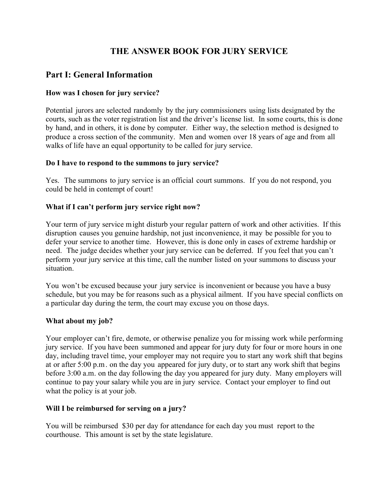## **THE ANSWER BOOK FOR JURY SERVICE**

## **Part I: General Information**

### **How was I chosen for jury service?**

Potential jurors are selected randomly by the jury commissioners using lists designated by the courts, such as the voter registration list and the driver's license list. In some courts, this is done by hand, and in others, it is done by computer. Either way, the selection method is designed to produce a cross section of the community. Men and women over 18 years of age and from all walks of life have an equal opportunity to be called for jury service.

#### **Do I have to respond to the summons to jury service?**

Yes. The summons to jury service is an official court summons. If you do not respond, you could be held in contempt of court!

#### **What if I can't perform jury service right now?**

Your term of jury service might disturb your regular pattern of work and other activities. If this disruption causes you genuine hardship, not just inconvenience, it may be possible for you to defer your service to another time. However, this is done only in cases of extreme hardship or need. The judge decides whether your jury service can be deferred. If you feel that you can't perform your jury service at this time, call the number listed on your summons to discuss your situation.

You won't be excused because your jury service is inconvenient or because you have a busy schedule, but you may be for reasons such as a physical ailment. If you have special conflicts on a particular day during the term, the court may excuse you on those days.

#### **What about my job?**

Your employer can't fire, demote, or otherwise penalize you for missing work while performing jury service. If you have been summoned and appear for jury duty for four or more hours in one day, including travel time, your employer may not require you to start any work shift that begins at or after 5:00 p.m. on the day you appeared for jury duty, or to start any work shift that begins before 3:00 a.m. on the day following the day you appeared for jury duty. Many employers will continue to pay your salary while you are in jury service. Contact your employer to find out what the policy is at your job.

#### **Will I be reimbursed for serving on a jury?**

You will be reimbursed \$30 per day for attendance for each day you must report to the courthouse. This amount is set by the state legislature.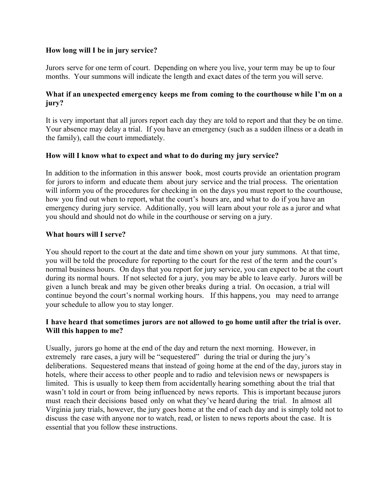#### **How long will I be in jury service?**

Jurors serve for one term of court. Depending on where you live, your term may be up to four months. Your summons will indicate the length and exact dates of the term you will serve.

#### **What if an unexpected emergency keeps me from coming to the courthouse while I'm on a jury?**

It is very important that all jurors report each day they are told to report and that they be on time. Your absence may delay a trial. If you have an emergency (such as a sudden illness or a death in the family), call the court immediately.

#### **How will I know what to expect and what to do during my jury service?**

In addition to the information in this answer book, most courts provide an orientation program for jurors to inform and educate them about jury service and the trial process. The orientation will inform you of the procedures for checking in on the days you must report to the courthouse, how you find out when to report, what the court's hours are, and what to do if you have an emergency during jury service. Additionally, you will learn about your role as a juror and what you should and should not do while in the courthouse or serving on a jury.

#### **What hours will I serve?**

You should report to the court at the date and time shown on your jury summons. At that time, you will be told the procedure for reporting to the court for the rest of the term and the court's normal business hours. On days that you report for jury service, you can expect to be at the court during its normal hours. If not selected for a jury, you may be able to leave early. Jurors will be given a lunch break and may be given other breaks during a trial. On occasion, a trial will continue beyond the court's normal working hours. If this happens, you may need to arrange your schedule to allow you to stay longer.

#### **I have heard that sometimes jurors are not allowed to go home until after the trial is over. Will this happen to me?**

Usually, jurors go home at the end of the day and return the next morning. However, in extremely rare cases, a jury will be "sequestered" during the trial or during the jury's deliberations. Sequestered means that instead of going home at the end of the day, jurors stay in hotels, where their access to other people and to radio and television news or newspapers is limited. This is usually to keep them from accidentally hearing something about the trial that wasn't told in court or from being influenced by news reports. This is important because jurors must reach their decisions based only on what they've heard during the trial. In almost all Virginia jury trials, however, the jury goes home at the end of each day and is simply told not to discuss the case with anyone nor to watch, read, or listen to news reports about the case. It is essential that you follow these instructions.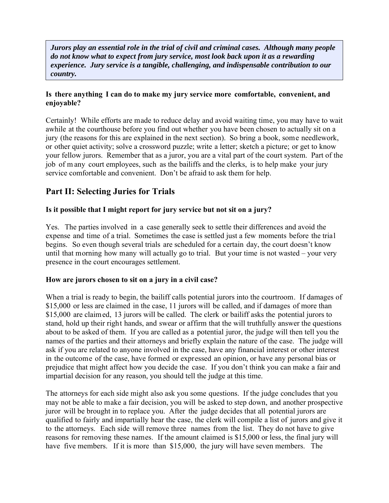*Jurors play an essential role in the trial of civil and criminal cases. Although many people do not know what to expect from jury service, most look back upon it as a rewarding experience. Jury service is a tangible, challenging, and indispensable contribution to our country.* 

#### **Is there anything I can do to make my jury service more comfortable, convenient, and enjoyable?**

Certainly! While efforts are made to reduce delay and avoid waiting time, you may have to wait awhile at the courthouse before you find out whether you have been chosen to actually sit on a jury (the reasons for this are explained in the next section). So bring a book, some needlework, or other quiet activity; solve a crossword puzzle; write a letter; sketch a picture; or get to know your fellow jurors. Remember that as a juror, you are a vital part of the court system. Part of the job of m any court employees, such as the bailiffs and the clerks, is to help make your jury service comfortable and convenient. Don't be afraid to ask them for help.

# **Part II: Selecting Juries for Trials**

### **Is it possible that I might report for jury service but not sit on a jury?**

Yes. The parties involved in a case generally seek to settle their differences and avoid the expense and time of a trial. Sometimes the case is settled just a few moments before the trial begins. So even though several trials are scheduled for a certain day, the court doesn't know until that morning how many will actually go to trial. But your time is not wasted – your very presence in the court encourages settlement.

#### **How are jurors chosen to sit on a jury in a civil case?**

When a trial is ready to begin, the bailiff calls potential jurors into the courtroom. If damages of \$15,000 or less are claimed in the case, 11 jurors will be called, and if damages of more than \$15,000 are claimed, 13 jurors will be called. The clerk or bailiff asks the potential jurors to stand, hold up their right hands, and swear or affirm that the will truthfully answer the questions about to be asked of them. If you are called as a potential juror, the judge will then tell you the names of the parties and their attorneys and briefly explain the nature of the case. The judge will ask if you are related to anyone involved in the case, have any financial interest or other interest in the outcome of the case, have formed or expressed an opinion, or have any personal bias or prejudice that might affect how you decide the case. If you don't think you can make a fair and impartial decision for any reason, you should tell the judge at this time.

The attorneys for each side might also ask you some questions. If the judge concludes that you may not be able to make a fair decision, you will be asked to step down, and another prospective juror will be brought in to replace you. After the judge decides that all potential jurors are qualified to fairly and impartially hear the case, the clerk will compile a list of jurors and give it to the attorneys. Each side will remove three names from the list. They do not have to give reasons for removing these names. If the amount claimed is \$15,000 or less, the final jury will have five members. If it is more than \$15,000, the jury will have seven members. The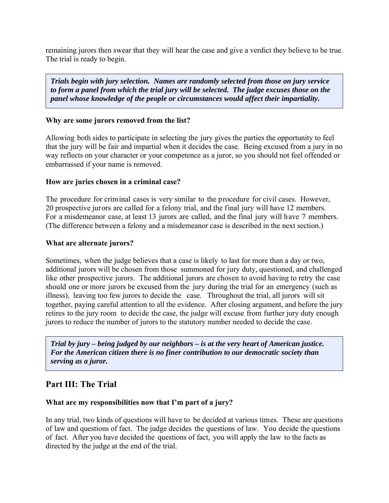remaining jurors then swear that they will hear the case and give a verdict they believe to be true. The trial is ready to begin.

*Trials begin with jury selection. Names are randomly selected from those on jury service to form a panel from which the trial jury will be selected. The judge excuses those on the panel whose knowledge of the people or circumstances would affect their impartiality.* 

#### **Why are some jurors removed from the list?**

Allowing both sides to participate in selecting the jury gives the parties the opportunity to feel that the jury will be fair and impartial when it decides the case. Being excused from a jury in no way reflects on your character or your competence as a juror, so you should not feel offended or embarrassed if your name is removed.

#### **How are juries chosen in a criminal case?**

The procedure for criminal cases is very similar to the procedure for civil cases. However, 20 prospective jurors are called for a felony trial, and the final jury will have 12 members. For a misdemeanor case, at least 13 jurors are called, and the final jury will have 7 members. (The difference between a felony and a misdemeanor case is described in the next section.)

#### **What are alternate jurors?**

Sometimes, when the judge believes that a case is likely to last for more than a day or two, additional jurors will be chosen from those summoned for jury duty, questioned, and challenged like other prospective jurors. The additional jurors are chosen to avoid having to retry the case should one or more jurors be excused from the jury during the trial for an emergency (such as illness), leaving too few jurors to decide the case. Throughout the trial, all jurors will sit together, paying careful attention to all the evidence. After closing argument, and before the jury retires to the jury room to decide the case, the judge will excuse from further jury duty enough jurors to reduce the number of jurors to the statutory number needed to decide the case.

*Trial by jury – being judged by our neighbors – is at the very heart of American justice. For the American citizen there is no finer contribution to our democratic society than serving as a juror.* 

### **Part III: The Trial**

#### **What are my responsibilities now that I'm part of a jury?**

In any trial, two kinds of questions will have to be decided at various times. These are questions of law and questions of fact. The judge decides the questions of law. You decide the questions of fact. After you have decided the questions of fact, you will apply the law to the facts as directed by the judge at the end of the trial.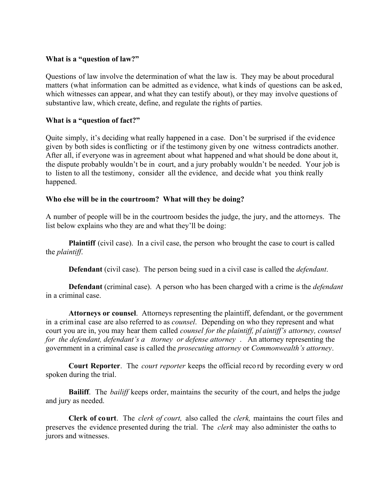#### **What is a "question of law?"**

Questions of law involve the determination of what the law is. They may be about procedural matters (what information can be admitted as evidence, what kinds of questions can be asked, which witnesses can appear, and what they can testify about), or they may involve questions of substantive law, which create, define, and regulate the rights of parties.

#### **What is a "question of fact?"**

Quite simply, it's deciding what really happened in a case. Don't be surprised if the evidence given by both sides is conflicting or if the testimony given by one witness contradicts another. After all, if everyone was in agreement about what happened and what should be done about it, the dispute probably wouldn't be in court, and a jury probably wouldn't be needed. Your job is to listen to all the testimony, consider all the evidence, and decide what you think really happened.

#### **Who else will be in the courtroom? What will they be doing?**

A number of people will be in the courtroom besides the judge, the jury, and the attorneys. The list below explains who they are and what they'll be doing:

**Plaintiff** (civil case). In a civil case, the person who brought the case to court is called the *plaintiff*.

**Defendant** (civil case). The person being sued in a civil case is called the *defendant*.

**Defendant** (criminal case). A person who has been charged with a crime is the *defendant* in a criminal case.

**Attorneys or counsel**. Attorneys representing the plaintiff, defendant, or the government in a criminal case are also referred to as *counsel*. Depending on who they represent and what court you are in, you may hear them called *counsel for the plaintiff, pl aintiff's attorney, counsel for the defendant, defendant's a ttorney or defense attorney* . An attorney representing the government in a criminal case is called the *prosecuting attorney* or *Commonwealth's attorney*.

**Court Reporter**. The *court reporter* keeps the official reco rd by recording every w ord spoken during the trial.

**Bailiff**. The *bailiff* keeps order, maintains the security of the court, and helps the judge and jury as needed.

**Clerk of court**. The *clerk of court,* also called the *clerk,* maintains the court files and preserves the evidence presented during the trial. The *clerk* may also administer the oaths to jurors and witnesses.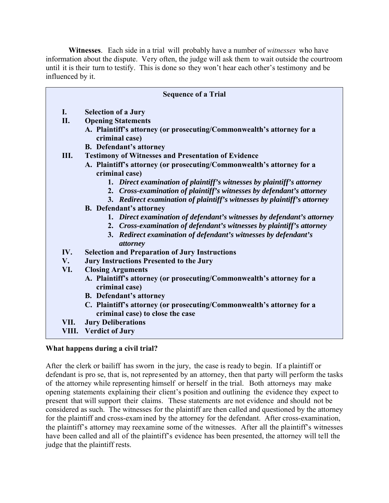**Witnesses**. Each side in a trial will probably have a number of *witnesses* who have information about the dispute. Very often, the judge will ask them to wait outside the courtroom until it is their turn to testify. This is done so they won't hear each other's testimony and be influenced by it.

| <b>Sequence of a Trial</b> |                                                                                                           |
|----------------------------|-----------------------------------------------------------------------------------------------------------|
| $\mathbf{I}$ .             | <b>Selection of a Jury</b>                                                                                |
| II.                        | <b>Opening Statements</b>                                                                                 |
|                            | A. Plaintiff's attorney (or prosecuting/Commonwealth's attorney for a<br>criminal case)                   |
|                            | <b>B.</b> Defendant's attorney                                                                            |
| Ш.                         | <b>Testimony of Witnesses and Presentation of Evidence</b>                                                |
|                            | A. Plaintiff's attorney (or prosecuting/Commonwealth's attorney for a<br>criminal case)                   |
|                            | 1. Direct examination of plaintiff's witnesses by plaintiff's attorney                                    |
|                            | 2. Cross-examination of plaintiff's witnesses by defendant's attorney                                     |
|                            | 3. Redirect examination of plaintiff's witnesses by plaintiff's attorney                                  |
|                            | <b>B.</b> Defendant's attorney                                                                            |
|                            | 1. Direct examination of defendant's witnesses by defendant's attorney                                    |
|                            | 2. Cross-examination of defendant's witnesses by plaintiff's attorney                                     |
|                            | 3. Redirect examination of defendant's witnesses by defendant's                                           |
|                            | attorney                                                                                                  |
| IV.                        | <b>Selection and Preparation of Jury Instructions</b>                                                     |
| V.                         | <b>Jury Instructions Presented to the Jury</b>                                                            |
| VI.                        | <b>Closing Arguments</b>                                                                                  |
|                            | A. Plaintiff's attorney (or prosecuting/Commonwealth's attorney for a<br>criminal case)                   |
|                            | <b>B.</b> Defendant's attorney                                                                            |
|                            | C. Plaintiff's attorney (or prosecuting/Commonwealth's attorney for a<br>criminal case) to close the case |
| VII.                       | <b>Jury Deliberations</b>                                                                                 |
| VIII.                      | <b>Verdict of Jury</b>                                                                                    |

#### **What happens during a civil trial?**

After the clerk or bailiff has sworn in the jury, the case is ready to begin. If a plaintiff or defendant is pro se, that is, not represented by an attorney, then that party will perform the tasks of the attorney while representing himself or herself in the trial. Both attorneys may make opening statements explaining their client's position and outlining the evidence they expect to present that will support their claims. These statements are not evidence and should not be considered as such. The witnesses for the plaintiff are then called and questioned by the attorney for the plaintiff and cross-exam ined by the attorney for the defendant. After cross-examination, the plaintiff's attorney may reexamine some of the witnesses. After all the plaintiff's witnesses have been called and all of the plaintiff's evidence has been presented, the attorney will tell the judge that the plaintiff rests.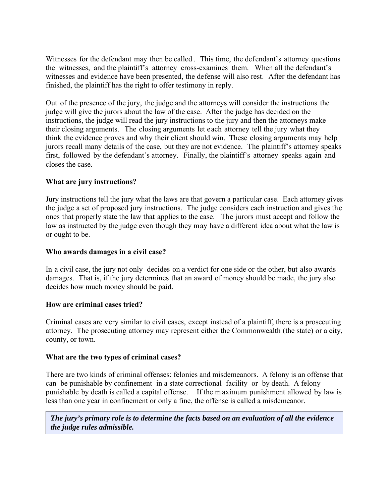Witnesses for the defendant may then be called . This time, the defendant's attorney questions the witnesses, and the plaintiff's attorney cross-examines them. When all the defendant's witnesses and evidence have been presented, the defense will also rest. After the defendant has finished, the plaintiff has the right to offer testimony in reply.

Out of the presence of the jury, the judge and the attorneys will consider the instructions the judge will give the jurors about the law of the case. After the judge has decided on the instructions, the judge will read the jury instructions to the jury and then the attorneys make their closing arguments. The closing arguments let each attorney tell the jury what they think the evidence proves and why their client should win. These closing arguments may help jurors recall many details of the case, but they are not evidence. The plaintiff's attorney speaks first, followed by the defendant's attorney. Finally, the plaintiff's attorney speaks again and closes the case.

#### **What are jury instructions?**

Jury instructions tell the jury what the laws are that govern a particular case. Each attorney gives the judge a set of proposed jury instructions. The judge considers each instruction and gives the ones that properly state the law that applies to the case. The jurors must accept and follow the law as instructed by the judge even though they may have a different idea about what the law is or ought to be.

#### **Who awards damages in a civil case?**

In a civil case, the jury not only decides on a verdict for one side or the other, but also awards damages. That is, if the jury determines that an award of money should be made, the jury also decides how much money should be paid.

#### **How are criminal cases tried?**

Criminal cases are very similar to civil cases, except instead of a plaintiff, there is a prosecuting attorney. The prosecuting attorney may represent either the Commonwealth (the state) or a city, county, or town.

#### **What are the two types of criminal cases?**

There are two kinds of criminal offenses: felonies and misdemeanors. A felony is an offense that can be punishable by confinement in a state correctional facility or by death. A felony punishable by death is called a capital offense. If the m aximum punishment allowed by law is less than one year in confinement or only a fine, the offense is called a misdemeanor.

*The jury's primary role is to determine the facts based on an evaluation of all the evidence the judge rules admissible.*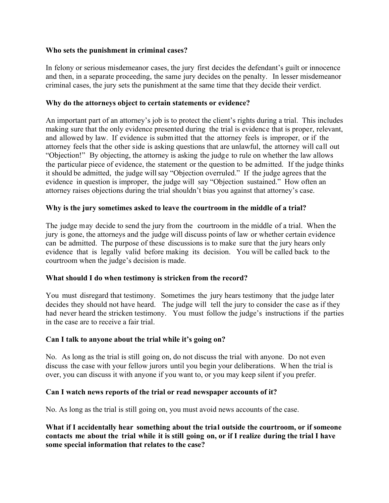#### **Who sets the punishment in criminal cases?**

In felony or serious misdemeanor cases, the jury first decides the defendant's guilt or innocence and then, in a separate proceeding, the same jury decides on the penalty. In lesser misdemeanor criminal cases, the jury sets the punishment at the same time that they decide their verdict.

#### **Why do the attorneys object to certain statements or evidence?**

An important part of an attorney's job is to protect the client's rights during a trial. This includes making sure that the only evidence presented during the trial is evidence that is proper, relevant, and allowed by law. If evidence is submitted that the attorney feels is improper, or if the attorney feels that the other side is asking questions that are unlawful, the attorney will call out "Objection!" By objecting, the attorney is asking the judge to rule on whether the law allows the particular piece of evidence, the statement or the question to be admitted. If the judge thinks it should be admitted, the judge willsay "Objection overruled." If the judge agrees that the evidence in question is improper, the judge will say "Objection sustained." How often an attorney raises objections during the trial shouldn't bias you against that attorney's case.

#### **Why is the jury sometimes asked to leave the courtroom in the middle of a trial?**

The judge may decide to send the jury from the courtroom in the middle of a trial. When the jury is gone, the attorneys and the judge will discuss points of law or whether certain evidence can be admitted. The purpose of these discussions is to make sure that the jury hears only evidence that is legally valid before making its decision. You will be called back to the courtroom when the judge's decision is made.

#### **What should I do when testimony is stricken from the record?**

You must disregard that testimony. Sometimes the jury hears testimony that the judge later decides they should not have heard. The judge will tell the jury to consider the case as if they had never heard the stricken testimony. You must follow the judge's instructions if the parties in the case are to receive a fair trial.

#### **Can I talk to anyone about the trial while it's going on?**

No. As long as the trial is still going on, do not discuss the trial with anyone. Do not even discuss the case with your fellow jurors until you begin your deliberations. When the trial is over, you can discuss it with anyone if you want to, or you may keep silent if you prefer.

#### **Can I watch news reports of the trial or read newspaper accounts of it?**

No. As long as the trial is still going on, you must avoid news accounts of the case.

**What if I accidentally hear something about the trial outside the courtroom, or if someone contacts me about the trial while it is still going on, or if I realize during the trial I have some special information that relates to the case?**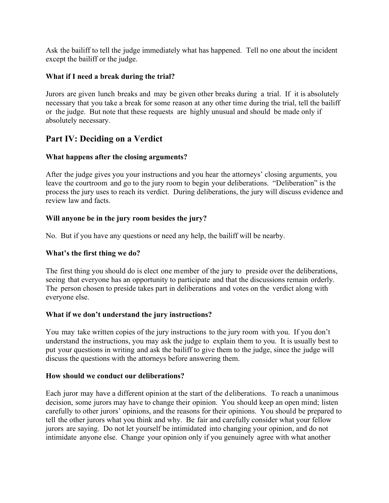Ask the bailiff to tell the judge immediately what has happened. Tell no one about the incident except the bailiff or the judge.

#### **What if I need a break during the trial?**

Jurors are given lunch breaks and may be given other breaks during a trial. If it is absolutely necessary that you take a break for some reason at any other time during the trial, tell the bailiff or the judge. But note that these requests are highly unusual and should be made only if absolutely necessary.

## **Part IV: Deciding on a Verdict**

#### **What happens after the closing arguments?**

After the judge gives you your instructions and you hear the attorneys' closing arguments, you leave the courtroom and go to the jury room to begin your deliberations. "Deliberation" is the process the jury uses to reach its verdict. During deliberations, the jury will discuss evidence and review law and facts.

#### **Will anyone be in the jury room besides the jury?**

No. But if you have any questions or need any help, the bailiff will be nearby.

#### **What's the first thing we do?**

The first thing you should do is elect one member of the jury to preside over the deliberations, seeing that everyone has an opportunity to participate and that the discussions remain orderly. The person chosen to preside takes part in deliberations and votes on the verdict along with everyone else.

#### **What if we don't understand the jury instructions?**

You may take written copies of the jury instructions to the jury room with you. If you don't understand the instructions, you may ask the judge to explain them to you. It is usually best to put your questions in writing and ask the bailiff to give them to the judge, since the judge will discuss the questions with the attorneys before answering them.

#### **How should we conduct our deliberations?**

Each juror may have a different opinion at the start of the deliberations. To reach a unanimous decision, some jurors may have to change their opinion. You should keep an open mind; listen carefully to other jurors' opinions, and the reasons for their opinions. You should be prepared to tell the other jurors what you think and why. Be fair and carefully consider what your fellow jurors are saying. Do not let yourself be intimidated into changing your opinion, and do not intimidate anyone else. Change your opinion only if you genuinely agree with what another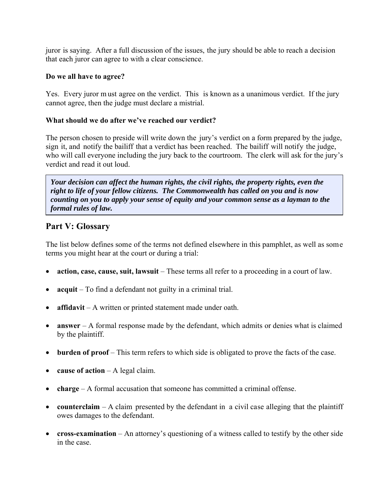juror is saying. After a full discussion of the issues, the jury should be able to reach a decision that each juror can agree to with a clear conscience.

#### **Do we all have to agree?**

Yes. Every juror m ust agree on the verdict. This is known as a unanimous verdict. If the jury cannot agree, then the judge must declare a mistrial.

#### **What should we do after we've reached our verdict?**

The person chosen to preside will write down the jury's verdict on a form prepared by the judge, sign it, and notify the bailiff that a verdict has been reached. The bailiff will notify the judge, who will call everyone including the jury back to the courtroom. The clerk will ask for the jury's verdict and read it out loud.

*Your decision can affect the human rights, the civil rights, the property rights, even the right to life of your fellow citizens. The Commonwealth has called on you and is now counting on you to apply your sense of equity and your common sense as a layman to the formal rules of law.* 

## **Part V: Glossary**

The list below defines some of the terms not defined elsewhere in this pamphlet, as well as some terms you might hear at the court or during a trial:

- **action, case, cause, suit, lawsuit** These terms all refer to a proceeding in a court of law.
- **acquit** To find a defendant not guilty in a criminal trial.
- **affidavit** A written or printed statement made under oath.
- **answer** A formal response made by the defendant, which admits or denies what is claimed by the plaintiff.
- **burden of proof** This term refers to which side is obligated to prove the facts of the case.
- **cause of action** A legal claim.
- **charge** A formal accusation that someone has committed a criminal offense.
- **counterclaim** A claim presented by the defendant in a civil case alleging that the plaintiff owes damages to the defendant.
- **cross-examination** An attorney's questioning of a witness called to testify by the other side in the case.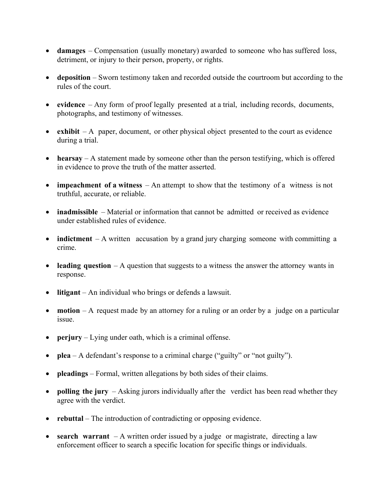- **damages** Compensation (usually monetary) awarded to someone who has suffered loss, detriment, or injury to their person, property, or rights.
- **deposition** Sworn testimony taken and recorded outside the courtroom but according to the rules of the court.
- **evidence** Any form of proof legally presented at a trial, including records, documents, photographs, and testimony of witnesses.
- **exhibit** A paper, document, or other physical object presented to the court as evidence during a trial.
- **hearsay** A statement made by someone other than the person testifying, which is offered in evidence to prove the truth of the matter asserted.
- **impeachment of a witness** An attempt to show that the testimony of a witness is not truthful, accurate, or reliable.
- **inadmissible** Material or information that cannot be admitted or received as evidence under established rules of evidence.
- **indictment** A written accusation by a grand jury charging someone with committing a crime.
- **leading question** A question that suggests to a witness the answer the attorney wants in response.
- **litigant** An individual who brings or defends a lawsuit.
- **motion** A request made by an attorney for a ruling or an order by a judge on a particular issue.
- **perjury** Lying under oath, which is a criminal offense.
- **plea** A defendant's response to a criminal charge ("guilty" or "not guilty").
- **pleadings** Formal, written allegations by both sides of their claims.
- **polling the jury** Asking jurors individually after the verdict has been read whether they agree with the verdict.
- **rebuttal** The introduction of contradicting or opposing evidence.
- **search warrant** A written order issued by a judge or magistrate, directing a law enforcement officer to search a specific location for specific things or individuals.